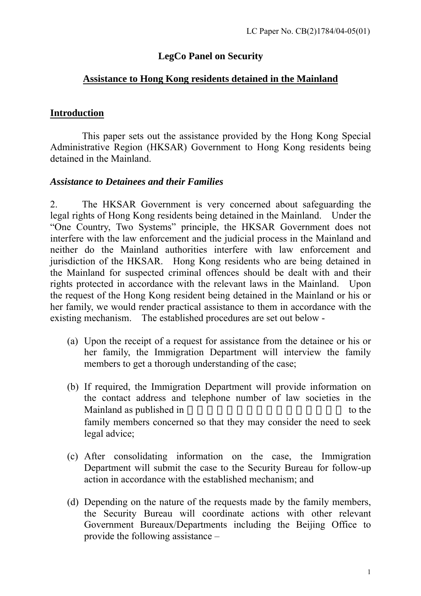## **LegCo Panel on Security**

## **Assistance to Hong Kong residents detained in the Mainland**

### **Introduction**

This paper sets out the assistance provided by the Hong Kong Special Administrative Region (HKSAR) Government to Hong Kong residents being detained in the Mainland.

### *Assistance to Detainees and their Families*

2. The HKSAR Government is very concerned about safeguarding the legal rights of Hong Kong residents being detained in the Mainland. Under the "One Country, Two Systems" principle, the HKSAR Government does not interfere with the law enforcement and the judicial process in the Mainland and neither do the Mainland authorities interfere with law enforcement and jurisdiction of the HKSAR. Hong Kong residents who are being detained in the Mainland for suspected criminal offences should be dealt with and their rights protected in accordance with the relevant laws in the Mainland. Upon the request of the Hong Kong resident being detained in the Mainland or his or her family, we would render practical assistance to them in accordance with the existing mechanism. The established procedures are set out below -

- (a) Upon the receipt of a request for assistance from the detainee or his or her family, the Immigration Department will interview the family members to get a thorough understanding of the case;
- (b) If required, the Immigration Department will provide information on the contact address and telephone number of law societies in the Mainland as published in  $\blacksquare$ family members concerned so that they may consider the need to seek legal advice;
- (c) After consolidating information on the case, the Immigration Department will submit the case to the Security Bureau for follow-up action in accordance with the established mechanism; and
- (d) Depending on the nature of the requests made by the family members, the Security Bureau will coordinate actions with other relevant Government Bureaux/Departments including the Beijing Office to provide the following assistance –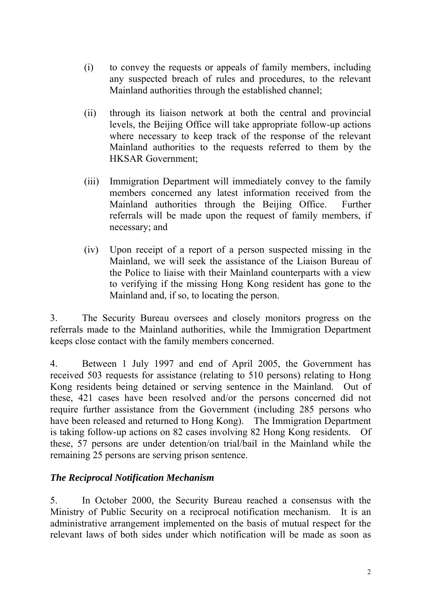- (i) to convey the requests or appeals of family members, including any suspected breach of rules and procedures, to the relevant Mainland authorities through the established channel;
- (ii) through its liaison network at both the central and provincial levels, the Beijing Office will take appropriate follow-up actions where necessary to keep track of the response of the relevant Mainland authorities to the requests referred to them by the HKSAR Government;
- (iii) Immigration Department will immediately convey to the family members concerned any latest information received from the Mainland authorities through the Beijing Office. Further referrals will be made upon the request of family members, if necessary; and
- (iv) Upon receipt of a report of a person suspected missing in the Mainland, we will seek the assistance of the Liaison Bureau of the Police to liaise with their Mainland counterparts with a view to verifying if the missing Hong Kong resident has gone to the Mainland and, if so, to locating the person.

3. The Security Bureau oversees and closely monitors progress on the referrals made to the Mainland authorities, while the Immigration Department keeps close contact with the family members concerned.

4. Between 1 July 1997 and end of April 2005, the Government has received 503 requests for assistance (relating to 510 persons) relating to Hong Kong residents being detained or serving sentence in the Mainland. Out of these, 421 cases have been resolved and/or the persons concerned did not require further assistance from the Government (including 285 persons who have been released and returned to Hong Kong). The Immigration Department is taking follow-up actions on 82 cases involving 82 Hong Kong residents. Of these, 57 persons are under detention/on trial/bail in the Mainland while the remaining 25 persons are serving prison sentence.

### *The Reciprocal Notification Mechanism*

5. In October 2000, the Security Bureau reached a consensus with the Ministry of Public Security on a reciprocal notification mechanism. It is an administrative arrangement implemented on the basis of mutual respect for the relevant laws of both sides under which notification will be made as soon as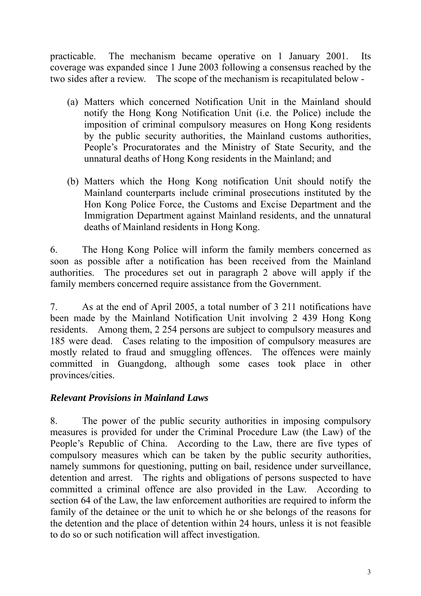practicable. The mechanism became operative on 1 January 2001. Its coverage was expanded since 1 June 2003 following a consensus reached by the two sides after a review. The scope of the mechanism is recapitulated below -

- (a) Matters which concerned Notification Unit in the Mainland should notify the Hong Kong Notification Unit (i.e. the Police) include the imposition of criminal compulsory measures on Hong Kong residents by the public security authorities, the Mainland customs authorities, People's Procuratorates and the Ministry of State Security, and the unnatural deaths of Hong Kong residents in the Mainland; and
- (b) Matters which the Hong Kong notification Unit should notify the Mainland counterparts include criminal prosecutions instituted by the Hon Kong Police Force, the Customs and Excise Department and the Immigration Department against Mainland residents, and the unnatural deaths of Mainland residents in Hong Kong.

6. The Hong Kong Police will inform the family members concerned as soon as possible after a notification has been received from the Mainland authorities. The procedures set out in paragraph 2 above will apply if the family members concerned require assistance from the Government.

7. As at the end of April 2005, a total number of 3 211 notifications have been made by the Mainland Notification Unit involving 2 439 Hong Kong residents. Among them, 2 254 persons are subject to compulsory measures and 185 were dead. Cases relating to the imposition of compulsory measures are mostly related to fraud and smuggling offences. The offences were mainly committed in Guangdong, although some cases took place in other provinces/cities.

# *Relevant Provisions in Mainland Laws*

8. The power of the public security authorities in imposing compulsory measures is provided for under the Criminal Procedure Law (the Law) of the People's Republic of China. According to the Law, there are five types of compulsory measures which can be taken by the public security authorities, namely summons for questioning, putting on bail, residence under surveillance, detention and arrest. The rights and obligations of persons suspected to have committed a criminal offence are also provided in the Law. According to section 64 of the Law, the law enforcement authorities are required to inform the family of the detainee or the unit to which he or she belongs of the reasons for the detention and the place of detention within 24 hours, unless it is not feasible to do so or such notification will affect investigation.